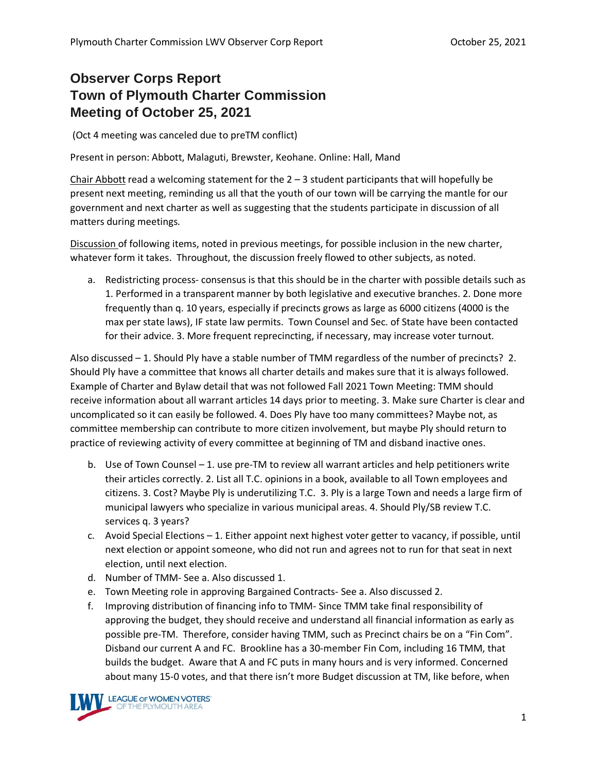## **Observer Corps Report Town of Plymouth Charter Commission Meeting of October 25, 2021**

(Oct 4 meeting was canceled due to preTM conflict)

Present in person: Abbott, Malaguti, Brewster, Keohane. Online: Hall, Mand

Chair Abbott read a welcoming statement for the  $2 - 3$  student participants that will hopefully be present next meeting, reminding us all that the youth of our town will be carrying the mantle for our government and next charter as well as suggesting that the students participate in discussion of all matters during meetings.

Discussion of following items, noted in previous meetings, for possible inclusion in the new charter, whatever form it takes. Throughout, the discussion freely flowed to other subjects, as noted.

a. Redistricting process- consensus is that this should be in the charter with possible details such as 1. Performed in a transparent manner by both legislative and executive branches. 2. Done more frequently than q. 10 years, especially if precincts grows as large as 6000 citizens (4000 is the max per state laws), IF state law permits. Town Counsel and Sec. of State have been contacted for their advice. 3. More frequent reprecincting, if necessary, may increase voter turnout.

Also discussed – 1. Should Ply have a stable number of TMM regardless of the number of precincts? 2. Should Ply have a committee that knows all charter details and makes sure that it is always followed. Example of Charter and Bylaw detail that was not followed Fall 2021 Town Meeting: TMM should receive information about all warrant articles 14 days prior to meeting. 3. Make sure Charter is clear and uncomplicated so it can easily be followed. 4. Does Ply have too many committees? Maybe not, as committee membership can contribute to more citizen involvement, but maybe Ply should return to practice of reviewing activity of every committee at beginning of TM and disband inactive ones.

- b. Use of Town Counsel 1. use pre-TM to review all warrant articles and help petitioners write their articles correctly. 2. List all T.C. opinions in a book, available to all Town employees and citizens. 3. Cost? Maybe Ply is underutilizing T.C. 3. Ply is a large Town and needs a large firm of municipal lawyers who specialize in various municipal areas. 4. Should Ply/SB review T.C. services q. 3 years?
- c. Avoid Special Elections 1. Either appoint next highest voter getter to vacancy, if possible, until next election or appoint someone, who did not run and agrees not to run for that seat in next election, until next election.
- d. Number of TMM- See a. Also discussed 1.
- e. Town Meeting role in approving Bargained Contracts- See a. Also discussed 2.
- f. Improving distribution of financing info to TMM- Since TMM take final responsibility of approving the budget, they should receive and understand all financial information as early as possible pre-TM. Therefore, consider having TMM, such as Precinct chairs be on a "Fin Com". Disband our current A and FC. Brookline has a 30-member Fin Com, including 16 TMM, that builds the budget. Aware that A and FC puts in many hours and is very informed. Concerned about many 15-0 votes, and that there isn't more Budget discussion at TM, like before, when